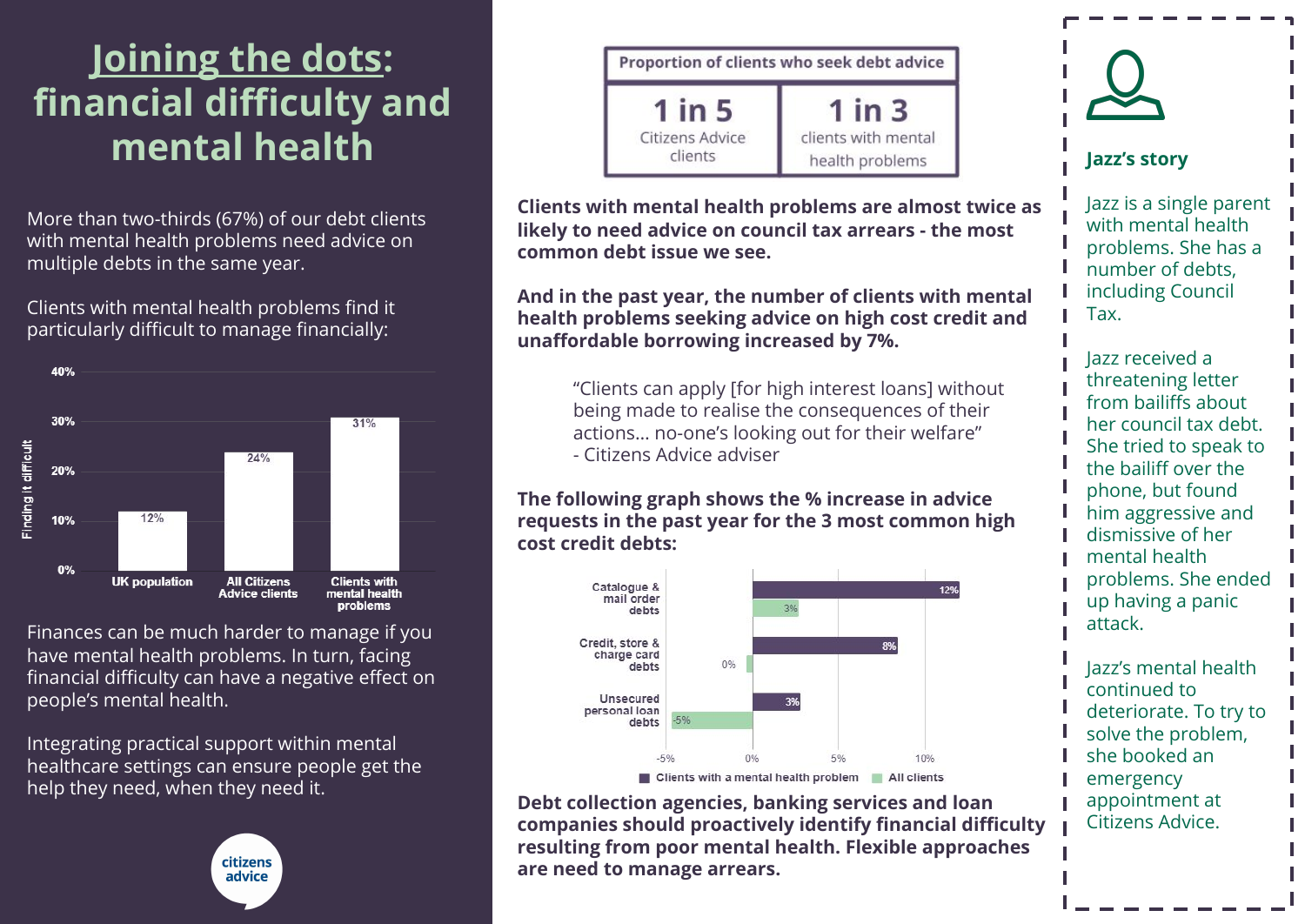# **[Joining the dots:](https://www.citizensadvice.org.uk/joining-the-dots-integrating-practical-support-in-mental-healthcare-settings-in-england) financial difficulty and mental health**

More than two-thirds (67%) of our debt clients with mental health problems need advice on multiple debts in the same year.

Clients with mental health problems find it particularly difficult to manage financially:



Finances can be much harder to manage if you have mental health problems. In turn, facing financial difficulty can have a negative effect on people's mental health.

Integrating practical support within mental healthcare settings can ensure people get the help they need, when they need it.





**Clients with mental health problems are almost twice as likely to need advice on council tax arrears - the most common debt issue we see.**

**And in the past year, the number of clients with mental health problems seeking advice on high cost credit and unaffordable borrowing increased by 7%.** 

> "Clients can apply [for high interest loans] without being made to realise the consequences of their actions… no-one's looking out for their welfare" - Citizens Advice adviser

**The following graph shows the % increase in advice requests in the past year for the 3 most common high cost credit debts:**



**Debt collection agencies, banking services and loan companies should proactively identify financial difficulty resulting from poor mental health. Flexible approaches are need to manage arrears.**



**Jazz's story**

Jazz is a single parent with mental health problems. She has a number of debts, including Council Tax.

Jazz received a threatening letter from bailiffs about her council tax debt. She tried to speak to the bailiff over the phone, but found him aggressive and dismissive of her mental health problems. She ended up having a panic attack.

Jazz's mental health continued to deteriorate. To try to solve the problem, she booked an emergency appointment at Citizens Advice.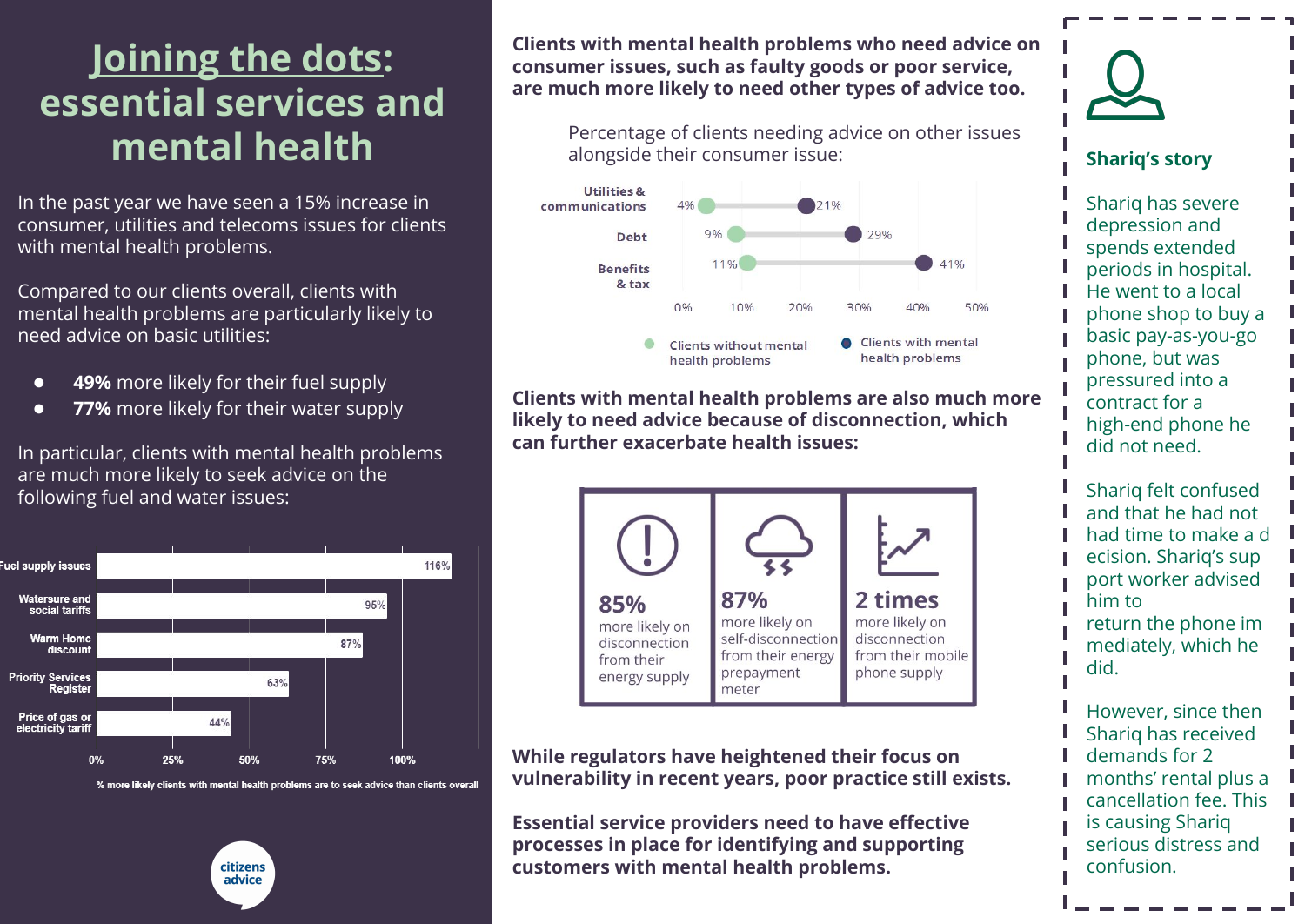# **[Joining the dots:](https://www.citizensadvice.org.uk/joining-the-dots-integrating-practical-support-in-mental-healthcare-settings-in-england) essential services and mental health**

In the past year we have seen a 15% increase in consumer, utilities and telecoms issues for clients with mental health problems.

Compared to our clients overall, clients with mental health problems are particularly likely to need advice on basic utilities:

- **49%** more likely for their fuel supply
- **77%** more likely for their water supply

In particular, clients with mental health problems are much more likely to seek advice on the following fuel and water issues:



% more likely clients with mental health problems are to seek advice than clients overall



**Clients with mental health problems who need advice on consumer issues, such as faulty goods or poor service, are much more likely to need other types of advice too.**

Percentage of clients needing advice on other issues alongside their consumer issue:



**Clients with mental health problems are also much more likely to need advice because of disconnection, which can further exacerbate health issues:** 



**While regulators have heightened their focus on vulnerability in recent years, poor practice still exists.** 

**Essential service providers need to have effective processes in place for identifying and supporting customers with mental health problems.**



#### **Shariq's story**

Shariq has severe depression and spends extended periods in hospital. He went to a local phone shop to buy a basic pay-as-you-go phone, but was pressured into a contract for a high-end phone he did not need.

Shariq felt confused and that he had not had time to make a d ecision. Shariq's sup port worker advised him to return the phone im mediately, which he did.

However, since then Shariq has received demands for 2 months' rental plus a cancellation fee. This is causing Shariq serious distress and confusion.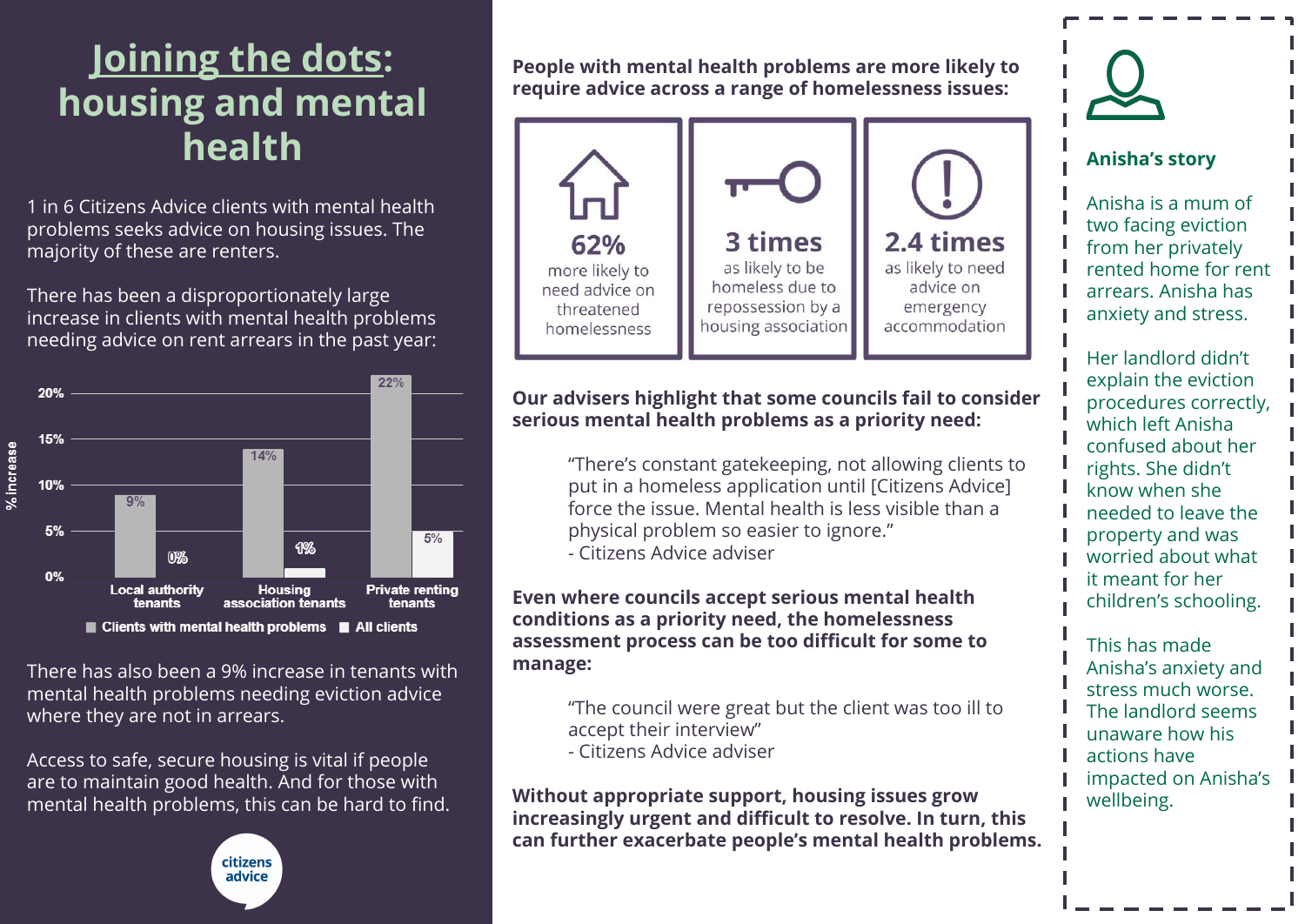## **[Joining the dots:](https://www.citizensadvice.org.uk/joining-the-dots-integrating-practical-support-in-mental-healthcare-settings-in-england) housing and mental health**

1 in 6 Citizens Advice clients with mental health problems seeks advice on housing issues. The majority of these are renters.

There has been a disproportionately large increase in clients with mental health problems needing advice on rent arrears in the past year:



There has also been a 9% increase in tenants with mental health problems needing eviction advice where they are not in arrears.

Access to safe, secure housing is vital if people are to maintain good health. And for those with mental health problems, this can be hard to find.



**People with mental health problems are more likely to require advice across a range of homelessness issues:**



### **Our advisers highlight that some councils fail to consider serious mental health problems as a priority need:**

"There's constant gatekeeping, not allowing clients to put in a homeless application until [Citizens Advice] force the issue. Mental health is less visible than a physical problem so easier to ignore." - Citizens Advice adviser

**Even where councils accept serious mental health conditions as a priority need, the homelessness assessment process can be too difficult for some to manage:**

> "The council were great but the client was too ill to accept their interview" - Citizens Advice adviser

**Without appropriate support, housing issues grow increasingly urgent and difficult to resolve. In turn, this can further exacerbate people's mental health problems.** 



### **Anisha's story**

Anisha is a mum of two facing eviction from her privately rented home for rent arrears. Anisha has anxiety and stress.

Her landlord didn't explain the eviction procedures correctly, which left Anisha confused about her rights. She didn't know when she needed to leave the property and was worried about what it meant for her children's schooling.

This has made Anisha's anxiety and stress much worse. The landlord seems unaware how his actions have impacted on Anisha's wellbeing.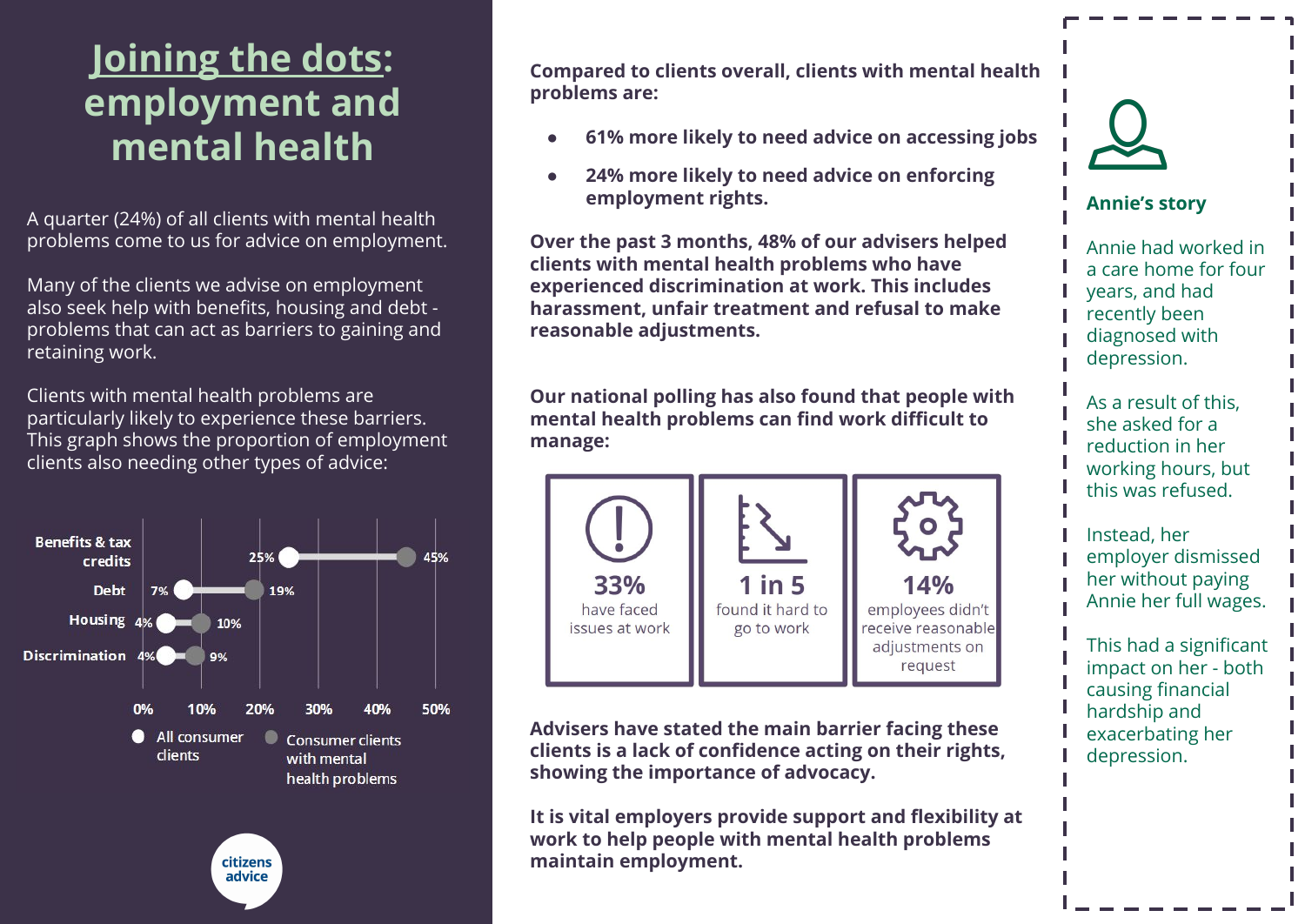## **[Joining the dots:](https://www.citizensadvice.org.uk/joining-the-dots-integrating-practical-support-in-mental-healthcare-settings-in-england) employment and mental health**

A quarter (24%) of all clients with mental health problems come to us for advice on employment.

Many of the clients we advise on employment also seek help with benefits, housing and debt problems that can act as barriers to gaining and retaining work.

Clients with mental health problems are particularly likely to experience these barriers. This graph shows the proportion of employment clients also needing other types of advice:



**Compared to clients overall, clients with mental health problems are:**

- **● 61% more likely to need advice on accessing jobs**
- **● 24% more likely to need advice on enforcing employment rights.**

**Over the past 3 months, 48% of our advisers helped clients with mental health problems who have experienced discrimination at work. This includes harassment, unfair treatment and refusal to make reasonable adjustments.** 

**Our national polling has also found that people with mental health problems can find work difficult to manage:**



**Advisers have stated the main barrier facing these clients is a lack of confidence acting on their rights, showing the importance of advocacy.**

**It is vital employers provide support and flexibility at work to help people with mental health problems maintain employment.**



### **Annie's story**

Annie had worked in a care home for four years, and had recently been diagnosed with depression.

As a result of this, she asked for a reduction in her working hours, but this was refused.

Instead, her employer dismissed her without paying Annie her full wages.

This had a significant impact on her - both causing financial hardship and exacerbating her depression.